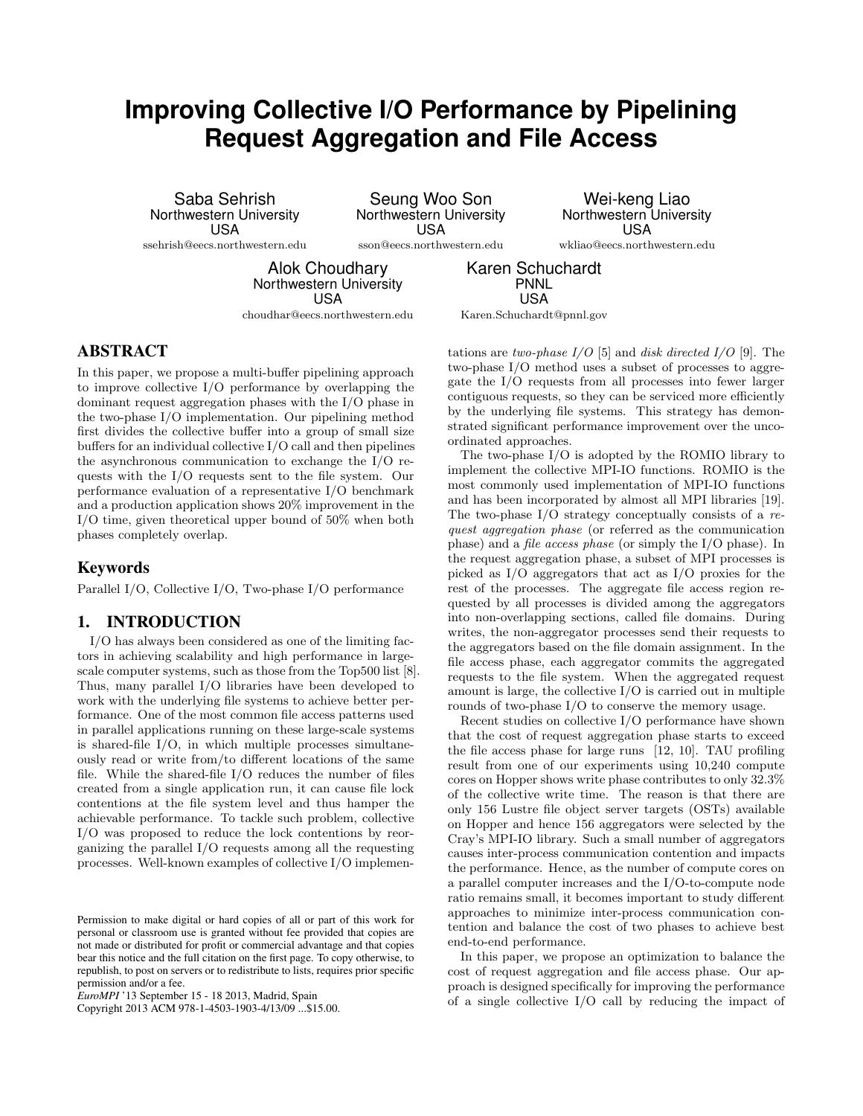# **Improving Collective I/O Performance by Pipelining Request Aggregation and File Access**

Saba Sehrish Northwestern University USA ssehrish@eecs.northwestern.edu

Seung Woo Son Northwestern University USA sson@eecs.northwestern.edu

Wei-keng Liao Northwestern University USA wkliao@eecs.northwestern.edu

Alok Choudhary Northwestern University USA

choudhar@eecs.northwestern.edu

Karen Schuchardt PNNL USA Karen.Schuchardt@pnnl.gov

# ABSTRACT

In this paper, we propose a multi-buffer pipelining approach to improve collective I/O performance by overlapping the dominant request aggregation phases with the I/O phase in the two-phase I/O implementation. Our pipelining method first divides the collective buffer into a group of small size buffers for an individual collective  $I/O$  call and then pipelines the asynchronous communication to exchange the I/O requests with the I/O requests sent to the file system. Our performance evaluation of a representative I/O benchmark and a production application shows 20% improvement in the I/O time, given theoretical upper bound of 50% when both phases completely overlap.

## Keywords

Parallel I/O, Collective I/O, Two-phase I/O performance

## 1. INTRODUCTION

I/O has always been considered as one of the limiting factors in achieving scalability and high performance in largescale computer systems, such as those from the Top500 list [8]. Thus, many parallel I/O libraries have been developed to work with the underlying file systems to achieve better performance. One of the most common file access patterns used in parallel applications running on these large-scale systems is shared-file I/O, in which multiple processes simultaneously read or write from/to different locations of the same file. While the shared-file I/O reduces the number of files created from a single application run, it can cause file lock contentions at the file system level and thus hamper the achievable performance. To tackle such problem, collective I/O was proposed to reduce the lock contentions by reorganizing the parallel I/O requests among all the requesting processes. Well-known examples of collective I/O implemen-

Copyright 2013 ACM 978-1-4503-1903-4/13/09 ...\$15.00.

tations are *two-phase I/O* [5] and *disk directed I/O* [9]. The two-phase I/O method uses a subset of processes to aggregate the I/O requests from all processes into fewer larger contiguous requests, so they can be serviced more efficiently by the underlying file systems. This strategy has demonstrated significant performance improvement over the uncoordinated approaches.

The two-phase I/O is adopted by the ROMIO library to implement the collective MPI-IO functions. ROMIO is the most commonly used implementation of MPI-IO functions and has been incorporated by almost all MPI libraries [19]. The two-phase I/O strategy conceptually consists of a *request aggregation phase* (or referred as the communication phase) and a *file access phase* (or simply the I/O phase). In the request aggregation phase, a subset of MPI processes is picked as I/O aggregators that act as I/O proxies for the rest of the processes. The aggregate file access region requested by all processes is divided among the aggregators into non-overlapping sections, called file domains. During writes, the non-aggregator processes send their requests to the aggregators based on the file domain assignment. In the file access phase, each aggregator commits the aggregated requests to the file system. When the aggregated request amount is large, the collective I/O is carried out in multiple rounds of two-phase I/O to conserve the memory usage.

Recent studies on collective I/O performance have shown that the cost of request aggregation phase starts to exceed the file access phase for large runs [12, 10]. TAU profiling result from one of our experiments using 10,240 compute cores on Hopper shows write phase contributes to only 32.3% of the collective write time. The reason is that there are only 156 Lustre file object server targets (OSTs) available on Hopper and hence 156 aggregators were selected by the Cray's MPI-IO library. Such a small number of aggregators causes inter-process communication contention and impacts the performance. Hence, as the number of compute cores on a parallel computer increases and the I/O-to-compute node ratio remains small, it becomes important to study different approaches to minimize inter-process communication contention and balance the cost of two phases to achieve best end-to-end performance.

In this paper, we propose an optimization to balance the cost of request aggregation and file access phase. Our approach is designed specifically for improving the performance of a single collective I/O call by reducing the impact of

Permission to make digital or hard copies of all or part of this work for personal or classroom use is granted without fee provided that copies are not made or distributed for profit or commercial advantage and that copies bear this notice and the full citation on the first page. To copy otherwise, to republish, to post on servers or to redistribute to lists, requires prior specific permission and/or a fee.

*EuroMPI* '13 September 15 - 18 2013, Madrid, Spain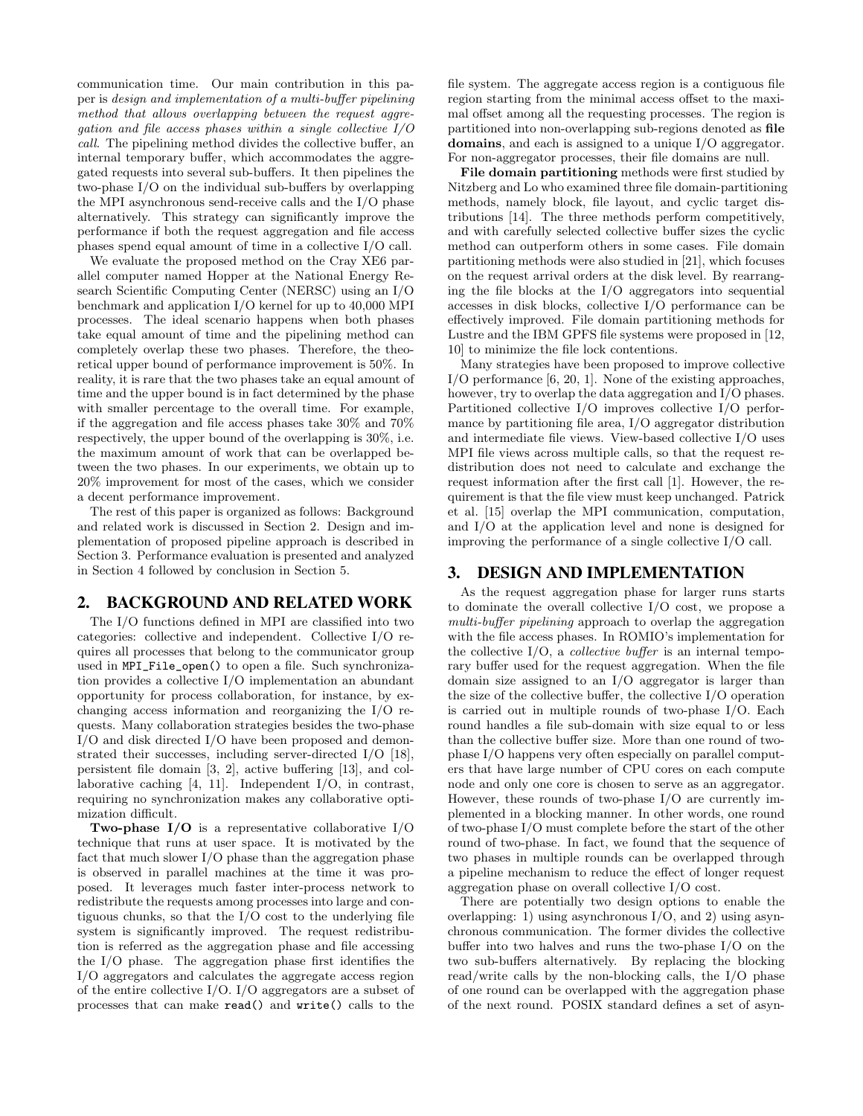communication time. Our main contribution in this paper is *design and implementation of a multi-buffer pipelining method that allows overlapping between the request aggregation and file access phases within a single collective I/O call.* The pipelining method divides the collective buffer, an internal temporary buffer, which accommodates the aggregated requests into several sub-buffers. It then pipelines the two-phase  $I/O$  on the individual sub-buffers by overlapping the MPI asynchronous send-receive calls and the I/O phase alternatively. This strategy can significantly improve the performance if both the request aggregation and file access phases spend equal amount of time in a collective I/O call.

We evaluate the proposed method on the Cray XE6 parallel computer named Hopper at the National Energy Research Scientific Computing Center (NERSC) using an I/O benchmark and application I/O kernel for up to 40,000 MPI processes. The ideal scenario happens when both phases take equal amount of time and the pipelining method can completely overlap these two phases. Therefore, the theoretical upper bound of performance improvement is 50%. In reality, it is rare that the two phases take an equal amount of time and the upper bound is in fact determined by the phase with smaller percentage to the overall time. For example, if the aggregation and file access phases take 30% and 70% respectively, the upper bound of the overlapping is 30%, i.e. the maximum amount of work that can be overlapped between the two phases. In our experiments, we obtain up to 20% improvement for most of the cases, which we consider a decent performance improvement.

The rest of this paper is organized as follows: Background and related work is discussed in Section 2. Design and implementation of proposed pipeline approach is described in Section 3. Performance evaluation is presented and analyzed in Section 4 followed by conclusion in Section 5.

## 2. BACKGROUND AND RELATED WORK

The I/O functions defined in MPI are classified into two categories: collective and independent. Collective I/O requires all processes that belong to the communicator group used in MPI\_File\_open() to open a file. Such synchronization provides a collective I/O implementation an abundant opportunity for process collaboration, for instance, by exchanging access information and reorganizing the I/O requests. Many collaboration strategies besides the two-phase I/O and disk directed I/O have been proposed and demonstrated their successes, including server-directed I/O [18], persistent file domain  $[3, 2]$ , active buffering  $[13]$ , and collaborative caching [4, 11]. Independent I/O, in contrast, requiring no synchronization makes any collaborative optimization difficult.

**Two-phase I/O** is a representative collaborative I/O technique that runs at user space. It is motivated by the fact that much slower I/O phase than the aggregation phase is observed in parallel machines at the time it was proposed. It leverages much faster inter-process network to redistribute the requests among processes into large and contiguous chunks, so that the I/O cost to the underlying file system is significantly improved. The request redistribution is referred as the aggregation phase and file accessing the I/O phase. The aggregation phase first identifies the I/O aggregators and calculates the aggregate access region of the entire collective I/O. I/O aggregators are a subset of processes that can make read() and write() calls to the file system. The aggregate access region is a contiguous file region starting from the minimal access offset to the maximal offset among all the requesting processes. The region is partitioned into non-overlapping sub-regions denoted as file domains, and each is assigned to a unique I/O aggregator. For non-aggregator processes, their file domains are null.

File domain partitioning methods were first studied by Nitzberg and Lo who examined three file domain-partitioning methods, namely block, file layout, and cyclic target distributions [14]. The three methods perform competitively, and with carefully selected collective buffer sizes the cyclic method can outperform others in some cases. File domain partitioning methods were also studied in [21], which focuses on the request arrival orders at the disk level. By rearranging the file blocks at the I/O aggregators into sequential accesses in disk blocks, collective I/O performance can be effectively improved. File domain partitioning methods for Lustre and the IBM GPFS file systems were proposed in [12, 10] to minimize the file lock contentions.

Many strategies have been proposed to improve collective I/O performance [6, 20, 1]. None of the existing approaches, however, try to overlap the data aggregation and I/O phases. Partitioned collective I/O improves collective I/O performance by partitioning file area, I/O aggregator distribution and intermediate file views. View-based collective I/O uses MPI file views across multiple calls, so that the request redistribution does not need to calculate and exchange the request information after the first call [1]. However, the requirement is that the file view must keep unchanged. Patrick et al. [15] overlap the MPI communication, computation, and I/O at the application level and none is designed for improving the performance of a single collective I/O call.

#### 3. DESIGN AND IMPLEMENTATION

As the request aggregation phase for larger runs starts to dominate the overall collective I/O cost, we propose a *multi-buffer pipelining* approach to overlap the aggregation with the file access phases. In ROMIO's implementation for the collective  $I/O$ , a *collective buffer* is an internal temporary buffer used for the request aggregation. When the file domain size assigned to an I/O aggregator is larger than the size of the collective buffer, the collective  $I/O$  operation is carried out in multiple rounds of two-phase I/O. Each round handles a file sub-domain with size equal to or less than the collective buffer size. More than one round of twophase I/O happens very often especially on parallel computers that have large number of CPU cores on each compute node and only one core is chosen to serve as an aggregator. However, these rounds of two-phase I/O are currently implemented in a blocking manner. In other words, one round of two-phase I/O must complete before the start of the other round of two-phase. In fact, we found that the sequence of two phases in multiple rounds can be overlapped through a pipeline mechanism to reduce the effect of longer request aggregation phase on overall collective I/O cost.

There are potentially two design options to enable the overlapping: 1) using asynchronous I/O, and 2) using asynchronous communication. The former divides the collective buffer into two halves and runs the two-phase  $I/O$  on the two sub-buffers alternatively. By replacing the blocking read/write calls by the non-blocking calls, the I/O phase of one round can be overlapped with the aggregation phase of the next round. POSIX standard defines a set of asyn-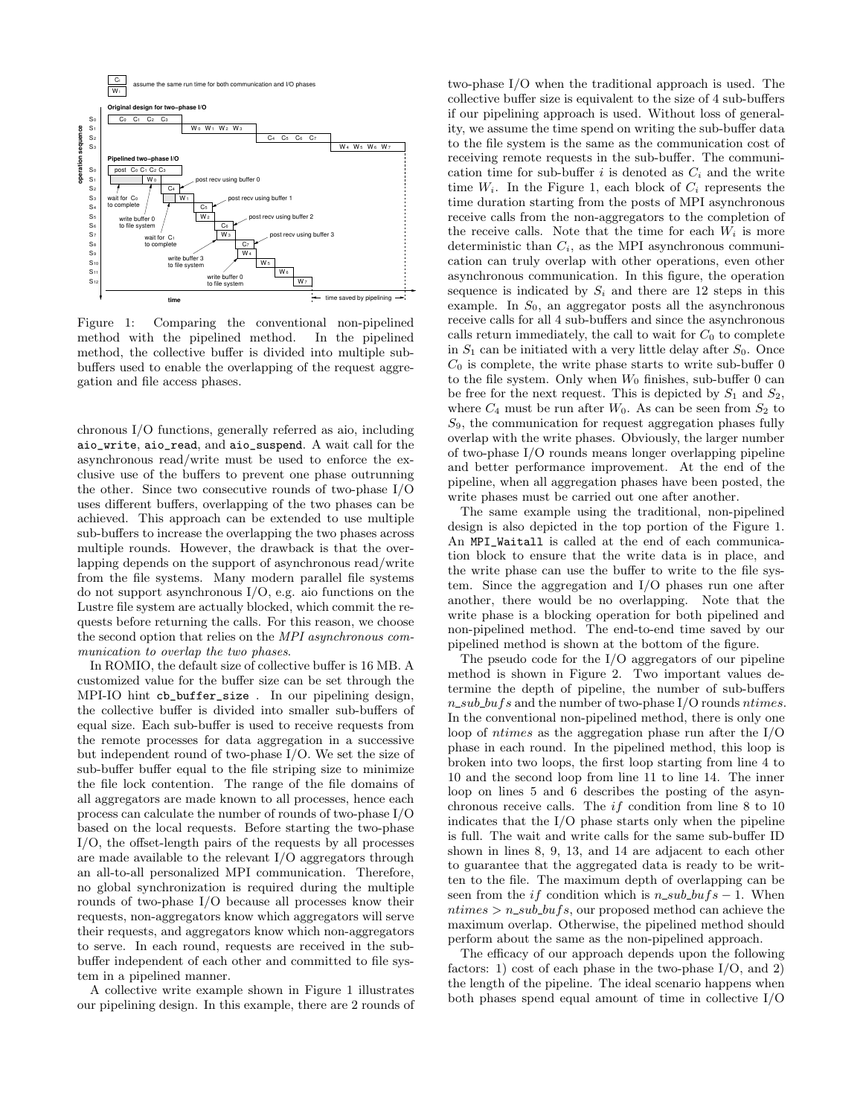

Figure 1: Comparing the conventional non-pipelined method with the pipelined method. In the pipelined method, the collective buffer is divided into multiple subbuffers used to enable the overlapping of the request aggregation and file access phases.

chronous I/O functions, generally referred as aio, including aio\_write, aio\_read, and aio\_suspend. A wait call for the asynchronous read/write must be used to enforce the exclusive use of the buffers to prevent one phase outrunning the other. Since two consecutive rounds of two-phase I/O uses different buffers, overlapping of the two phases can be achieved. This approach can be extended to use multiple sub-buffers to increase the overlapping the two phases across multiple rounds. However, the drawback is that the overlapping depends on the support of asynchronous read/write from the file systems. Many modern parallel file systems do not support asynchronous I/O, e.g. aio functions on the Lustre file system are actually blocked, which commit the requests before returning the calls. For this reason, we choose the second option that relies on the *MPI asynchronous communication to overlap the two phases*.

In ROMIO, the default size of collective buffer is 16 MB. A customized value for the buffer size can be set through the MPI-IO hint cb\_buffer\_size . In our pipelining design, the collective buffer is divided into smaller sub-buffers of equal size. Each sub-buffer is used to receive requests from the remote processes for data aggregation in a successive but independent round of two-phase I/O. We set the size of sub-buffer buffer equal to the file striping size to minimize the file lock contention. The range of the file domains of all aggregators are made known to all processes, hence each process can calculate the number of rounds of two-phase I/O based on the local requests. Before starting the two-phase  $I/O$ , the offset-length pairs of the requests by all processes are made available to the relevant I/O aggregators through an all-to-all personalized MPI communication. Therefore, no global synchronization is required during the multiple rounds of two-phase I/O because all processes know their requests, non-aggregators know which aggregators will serve their requests, and aggregators know which non-aggregators to serve. In each round, requests are received in the subbuffer independent of each other and committed to file system in a pipelined manner.

A collective write example shown in Figure 1 illustrates our pipelining design. In this example, there are 2 rounds of

two-phase I/O when the traditional approach is used. The collective buffer size is equivalent to the size of  $4$  sub-buffers if our pipelining approach is used. Without loss of generality, we assume the time spend on writing the sub-buffer data to the file system is the same as the communication cost of receiving remote requests in the sub-buffer. The communication time for sub-buffer  $i$  is denoted as  $C_i$  and the write time  $W_i$ . In the Figure 1, each block of  $C_i$  represents the time duration starting from the posts of MPI asynchronous receive calls from the non-aggregators to the completion of the receive calls. Note that the time for each  $W_i$  is more deterministic than *Ci*, as the MPI asynchronous communication can truly overlap with other operations, even other asynchronous communication. In this figure, the operation sequence is indicated by  $S_i$  and there are 12 steps in this example. In *S*0, an aggregator posts all the asynchronous receive calls for all 4 sub-buffers and since the asynchronous calls return immediately, the call to wait for  $C_0$  to complete in  $S_1$  can be initiated with a very little delay after  $S_0$ . Once  $C_0$  is complete, the write phase starts to write sub-buffer 0 to the file system. Only when  $W_0$  finishes, sub-buffer  $0$  can be free for the next request. This is depicted by  $S_1$  and  $S_2$ , where  $C_4$  must be run after  $W_0$ . As can be seen from  $S_2$  to *S*9, the communication for request aggregation phases fully overlap with the write phases. Obviously, the larger number of two-phase I/O rounds means longer overlapping pipeline and better performance improvement. At the end of the pipeline, when all aggregation phases have been posted, the write phases must be carried out one after another.

The same example using the traditional, non-pipelined design is also depicted in the top portion of the Figure 1. An MPI\_Waitall is called at the end of each communication block to ensure that the write data is in place, and the write phase can use the buffer to write to the file system. Since the aggregation and I/O phases run one after another, there would be no overlapping. Note that the write phase is a blocking operation for both pipelined and non-pipelined method. The end-to-end time saved by our pipelined method is shown at the bottom of the figure.

The pseudo code for the I/O aggregators of our pipeline method is shown in Figure 2. Two important values determine the depth of pipeline, the number of sub-buffers *n sub bufs* and the number of two-phase I/O rounds *ntimes*. In the conventional non-pipelined method, there is only one loop of *ntimes* as the aggregation phase run after the I/O phase in each round. In the pipelined method, this loop is broken into two loops, the first loop starting from line 4 to 10 and the second loop from line 11 to line 14. The inner loop on lines 5 and 6 describes the posting of the asynchronous receive calls. The *if* condition from line 8 to 10 indicates that the I/O phase starts only when the pipeline is full. The wait and write calls for the same sub-buffer ID shown in lines 8, 9, 13, and 14 are adjacent to each other to guarantee that the aggregated data is ready to be written to the file. The maximum depth of overlapping can be seen from the *if* condition which is  $n\_sub_b f s - 1$ . When  $ntimes > n$ -sub-bufs, our proposed method can achieve the maximum overlap. Otherwise, the pipelined method should perform about the same as the non-pipelined approach.

The efficacy of our approach depends upon the following factors: 1) cost of each phase in the two-phase I/O, and 2) the length of the pipeline. The ideal scenario happens when both phases spend equal amount of time in collective I/O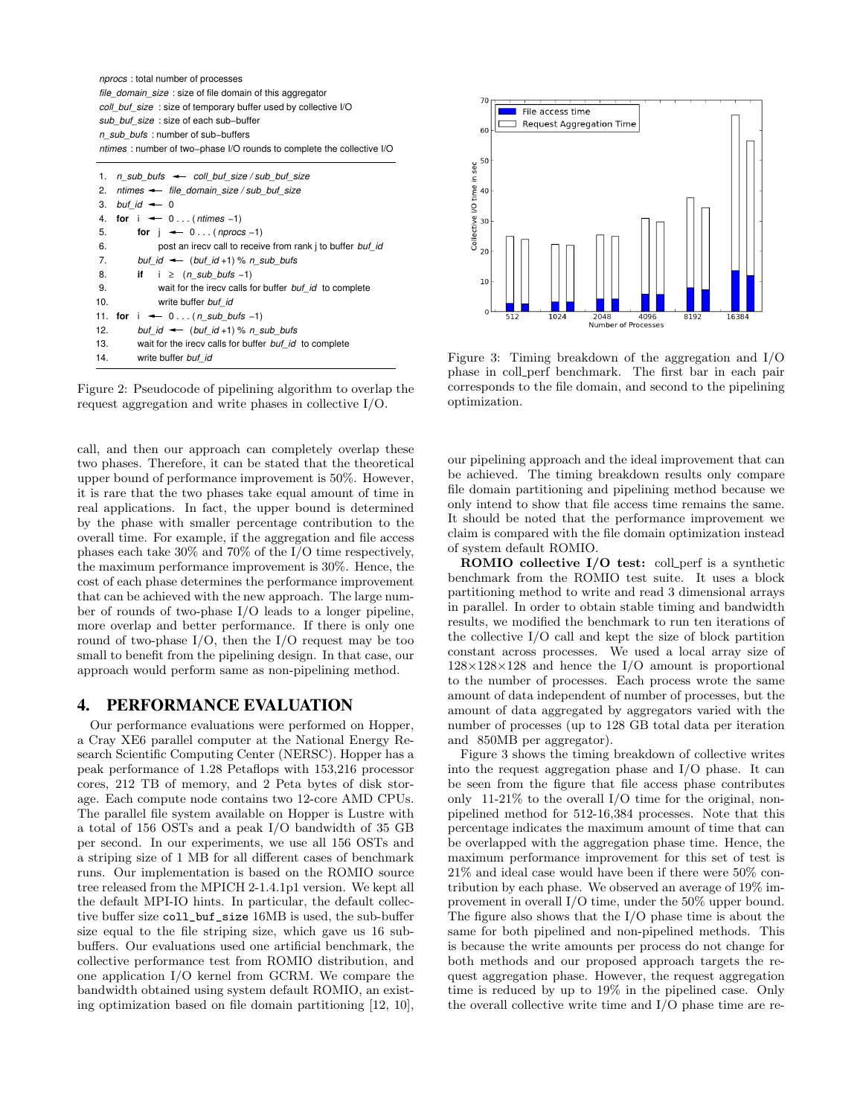| nprocs: total number of processes                                     |  |  |  |
|-----------------------------------------------------------------------|--|--|--|
| file domain size : size of file domain of this aggregator             |  |  |  |
| coll buf size: size of temporary buffer used by collective I/O        |  |  |  |
| sub buf size : size of each sub-buffer                                |  |  |  |
| n sub bufs: number of sub-buffers                                     |  |  |  |
| ntimes: number of two-phase I/O rounds to complete the collective I/O |  |  |  |
|                                                                       |  |  |  |
| 1. <i>n</i> sub bufs $\rightarrow$ coll buf size/sub buf size         |  |  |  |
| 2. ntimes $\leftarrow$ file domain size/sub buf size                  |  |  |  |
| 3 but id $\rightarrow$ 0                                              |  |  |  |

| 3.  | but id $\rightarrow 0$                                     |
|-----|------------------------------------------------------------|
| 4.  | <b>for</b> $i \leftarrow 0$ ( <i>ntimes</i> -1)            |
| 5.  | for $i \leftarrow 0 \dots (n \text{ process } -1)$         |
| 6.  | post an irecv call to receive from rank j to buffer buf id |
| 7.  | but id $\leftarrow$ (but id +1) % n sub buts               |
| 8.  | if $i \geq (n \text{ sub bits } -1)$                       |
| 9.  | wait for the irecy calls for buffer buf id to complete     |
| 10. | write buffer buf id                                        |
|     | 11. for $i \leftarrow 0$ ( <i>n</i> sub bufs -1)           |
| 12. | but id $\leftarrow$ (but id +1) % n sub buts               |
| 13. | wait for the irecy calls for buffer buf id to complete     |
| 14. | write buffer buf id                                        |

Figure 2: Pseudocode of pipelining algorithm to overlap the request aggregation and write phases in collective I/O.

call, and then our approach can completely overlap these two phases. Therefore, it can be stated that the theoretical upper bound of performance improvement is 50%. However, it is rare that the two phases take equal amount of time in real applications. In fact, the upper bound is determined by the phase with smaller percentage contribution to the overall time. For example, if the aggregation and file access phases each take 30% and 70% of the I/O time respectively, the maximum performance improvement is 30%. Hence, the cost of each phase determines the performance improvement that can be achieved with the new approach. The large number of rounds of two-phase I/O leads to a longer pipeline, more overlap and better performance. If there is only one round of two-phase I/O, then the I/O request may be too small to benefit from the pipelining design. In that case, our approach would perform same as non-pipelining method.

#### 4. PERFORMANCE EVALUATION

Our performance evaluations were performed on Hopper, a Cray XE6 parallel computer at the National Energy Research Scientific Computing Center (NERSC). Hopper has a peak performance of 1.28 Petaflops with 153,216 processor cores, 212 TB of memory, and 2 Peta bytes of disk storage. Each compute node contains two 12-core AMD CPUs. The parallel file system available on Hopper is Lustre with a total of 156 OSTs and a peak I/O bandwidth of 35 GB per second. In our experiments, we use all 156 OSTs and a striping size of 1 MB for all different cases of benchmark runs. Our implementation is based on the ROMIO source tree released from the MPICH 2-1.4.1p1 version. We kept all the default MPI-IO hints. In particular, the default collective buffer size coll\_buf\_size 16MB is used, the sub-buffer size equal to the file striping size, which gave us 16 subbuffers. Our evaluations used one artificial benchmark, the collective performance test from ROMIO distribution, and one application I/O kernel from GCRM. We compare the bandwidth obtained using system default ROMIO, an existing optimization based on file domain partitioning [12, 10],



Figure 3: Timing breakdown of the aggregation and I/O phase in coll perf benchmark. The first bar in each pair corresponds to the file domain, and second to the pipelining optimization.

our pipelining approach and the ideal improvement that can be achieved. The timing breakdown results only compare file domain partitioning and pipelining method because we only intend to show that file access time remains the same. It should be noted that the performance improvement we claim is compared with the file domain optimization instead of system default ROMIO.

ROMIO collective I/O test: coll\_perf is a synthetic benchmark from the ROMIO test suite. It uses a block partitioning method to write and read 3 dimensional arrays in parallel. In order to obtain stable timing and bandwidth results, we modified the benchmark to run ten iterations of the collective I/O call and kept the size of block partition constant across processes. We used a local array size of  $128\times128\times128$  and hence the I/O amount is proportional to the number of processes. Each process wrote the same amount of data independent of number of processes, but the amount of data aggregated by aggregators varied with the number of processes (up to 128 GB total data per iteration and 850MB per aggregator).

Figure 3 shows the timing breakdown of collective writes into the request aggregation phase and I/O phase. It can be seen from the figure that file access phase contributes only 11-21% to the overall I/O time for the original, nonpipelined method for 512-16,384 processes. Note that this percentage indicates the maximum amount of time that can be overlapped with the aggregation phase time. Hence, the maximum performance improvement for this set of test is 21% and ideal case would have been if there were 50% contribution by each phase. We observed an average of 19% improvement in overall I/O time, under the 50% upper bound. The figure also shows that the I/O phase time is about the same for both pipelined and non-pipelined methods. This is because the write amounts per process do not change for both methods and our proposed approach targets the request aggregation phase. However, the request aggregation time is reduced by up to 19% in the pipelined case. Only the overall collective write time and I/O phase time are re-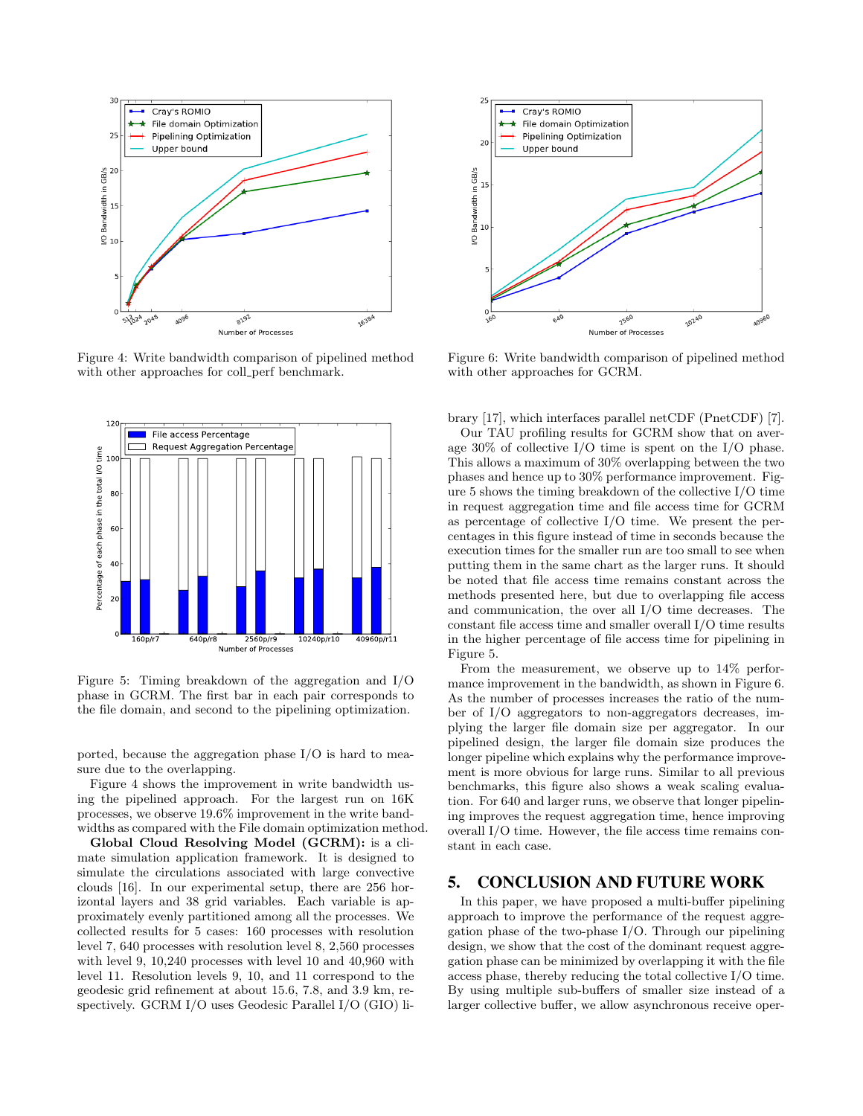

Figure 4: Write bandwidth comparison of pipelined method with other approaches for coll\_perf benchmark.



Figure 5: Timing breakdown of the aggregation and I/O phase in GCRM. The first bar in each pair corresponds to the file domain, and second to the pipelining optimization.

ported, because the aggregation phase I/O is hard to measure due to the overlapping.

Figure 4 shows the improvement in write bandwidth using the pipelined approach. For the largest run on 16K processes, we observe 19.6% improvement in the write bandwidths as compared with the File domain optimization method.

Global Cloud Resolving Model (GCRM): is a climate simulation application framework. It is designed to simulate the circulations associated with large convective clouds [16]. In our experimental setup, there are 256 horizontal layers and 38 grid variables. Each variable is approximately evenly partitioned among all the processes. We collected results for 5 cases: 160 processes with resolution level 7, 640 processes with resolution level 8, 2,560 processes with level 9, 10,240 processes with level 10 and 40,960 with level 11. Resolution levels 9, 10, and 11 correspond to the geodesic grid refinement at about 15.6, 7.8, and 3.9 km, respectively. GCRM I/O uses Geodesic Parallel I/O (GIO) li-



Figure 6: Write bandwidth comparison of pipelined method with other approaches for GCRM.

brary [17], which interfaces parallel netCDF (PnetCDF) [7].

Our TAU profiling results for GCRM show that on average 30% of collective I/O time is spent on the I/O phase. This allows a maximum of 30% overlapping between the two phases and hence up to 30% performance improvement. Figure 5 shows the timing breakdown of the collective I/O time in request aggregation time and file access time for GCRM as percentage of collective I/O time. We present the percentages in this figure instead of time in seconds because the execution times for the smaller run are too small to see when putting them in the same chart as the larger runs. It should be noted that file access time remains constant across the methods presented here, but due to overlapping file access and communication, the over all I/O time decreases. The constant file access time and smaller overall I/O time results in the higher percentage of file access time for pipelining in Figure 5.

From the measurement, we observe up to 14% performance improvement in the bandwidth, as shown in Figure 6. As the number of processes increases the ratio of the number of I/O aggregators to non-aggregators decreases, implying the larger file domain size per aggregator. In our pipelined design, the larger file domain size produces the longer pipeline which explains why the performance improvement is more obvious for large runs. Similar to all previous benchmarks, this figure also shows a weak scaling evaluation. For 640 and larger runs, we observe that longer pipelining improves the request aggregation time, hence improving overall I/O time. However, the file access time remains constant in each case.

# 5. CONCLUSION AND FUTURE WORK

In this paper, we have proposed a multi-buffer pipelining approach to improve the performance of the request aggregation phase of the two-phase I/O. Through our pipelining design, we show that the cost of the dominant request aggregation phase can be minimized by overlapping it with the file access phase, thereby reducing the total collective I/O time. By using multiple sub-buffers of smaller size instead of a larger collective buffer, we allow asynchronous receive oper